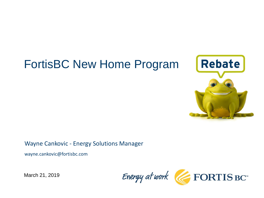# FortisBC New Home Program



Wayne Cankovic - Energy Solutions Manager

wayne.cankovic@fortisbc.com

Energy at work FORTIS BC

March 21, 2019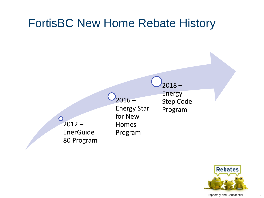#### FortisBC New Home Rebate History  $2018 -$ Energy  $2016 -$ Step Code Energy Star Programfor New  $\bigcirc$  $2012 -$ Homes EnerGuide Program 80 Program

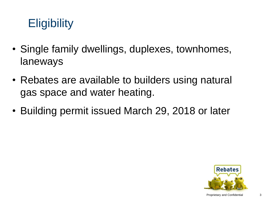# **Eligibility**

- Single family dwellings, duplexes, townhomes, laneways
- Rebates are available to builders using natural gas space and water heating.
- Building permit issued March 29, 2018 or later

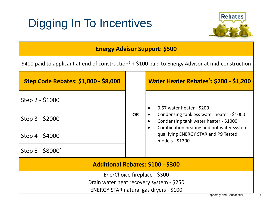# Digging In To Incentives



#### **Energy Advisor Support: \$500**

\$400 paid to applicant at end of construction<sup>2</sup> + \$100 paid to Energy Advisor at mid-construction

| <b>Step Code Rebates: \$1,000 - \$8,000</b> | <b>OR</b> | Water Heater Rebates <sup>3</sup> : \$200 - \$1,200                                                                                                                                                                      |
|---------------------------------------------|-----------|--------------------------------------------------------------------------------------------------------------------------------------------------------------------------------------------------------------------------|
| Step 2 - \$1000                             |           | 0.67 water heater - \$200<br>Condensing tankless water heater - \$1000<br>Condensing tank water heater - \$1000<br>Combination heating and hot water systems,<br>qualifying ENERGY STAR and P9 Tested<br>models - \$1200 |
| Step $3 - $2000$                            |           |                                                                                                                                                                                                                          |
| Step 4 - \$4000                             |           |                                                                                                                                                                                                                          |
| Step $5 - $8000^4$                          |           |                                                                                                                                                                                                                          |
| <b>Additional Rebates: \$100 - \$300</b>    |           |                                                                                                                                                                                                                          |
| EnerChoice fireplace - \$300                |           |                                                                                                                                                                                                                          |
| Drain water heat recovery system - \$250    |           |                                                                                                                                                                                                                          |
| ENERGY STAR natural gas dryers - \$100      |           |                                                                                                                                                                                                                          |
|                                             |           | <b>Proprietary and Confidential</b>                                                                                                                                                                                      |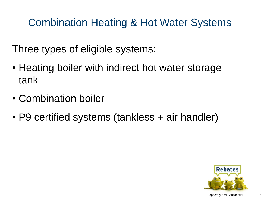#### Combination Heating & Hot Water Systems

Three types of eligible systems:

- Heating boiler with indirect hot water storage tank
- Combination boiler
- P9 certified systems (tankless + air handler)

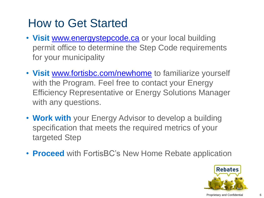### How to Get Started

- **Visit** [www.energystepcode.ca](http://www.energystepcode.ca/) or your local building permit office to determine the Step Code requirements for your municipality
- **Visit** [www.fortisbc.com/newhome](http://www.fortisbc.com/newhome) to familiarize yourself with the Program. Feel free to contact your Energy Efficiency Representative or Energy Solutions Manager with any questions.
- **Work with** your Energy Advisor to develop a building specification that meets the required metrics of your targeted Step
- **Proceed** with FortisBC's New Home Rebate application

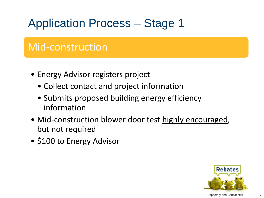## Application Process – Stage 1

#### Mid-construction

- Energy Advisor registers project
	- Collect contact and project information
	- Submits proposed building energy efficiency information
- Mid-construction blower door test highly encouraged, but not required
- \$100 to Energy Advisor

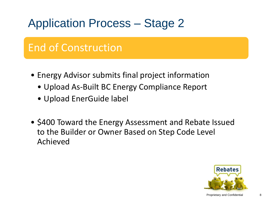### Application Process – Stage 2

#### End of Construction

- Energy Advisor submits final project information
	- Upload As-Built BC Energy Compliance Report
	- Upload EnerGuide label
- \$400 Toward the Energy Assessment and Rebate Issued to the Builder or Owner Based on Step Code Level Achieved

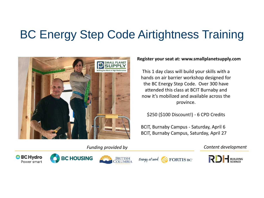### BC Energy Step Code Airtightness Training



#### **Register your seat at: www.smallplanetsupply.com**

This 1 day class will build your skills with a hands on air barrier workshop designed for the BC Energy Step Code. Over 300 have attended this class at BCIT Burnaby and now it's mobilized and available across the province.

\$250 (\$100 Discount!) - 6 CPD Credits

BCIT, Burnaby Campus - Saturday, April 6 BCIT, Burnaby Campus, Saturday, April 27

*Funding provided by Content development*